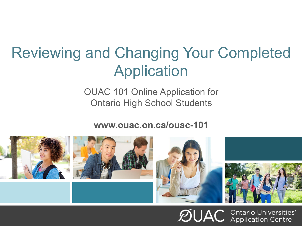# Reviewing and Changing Your Completed Application

OUAC 101 Online Application for Ontario High School Students

**www.ouac.on.ca/ouac-101**



 $\mathcal{D}$ UAC **Ontario Universities'**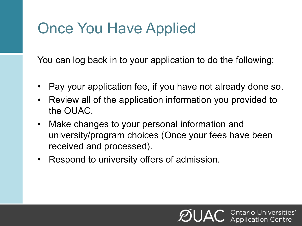# Once You Have Applied

You can log back in to your application to do the following:

- Pay your application fee, if you have not already done so.
- Review all of the application information you provided to the OUAC.
- Make changes to your personal information and university/program choices (Once your fees have been received and processed).
- Respond to university offers of admission.

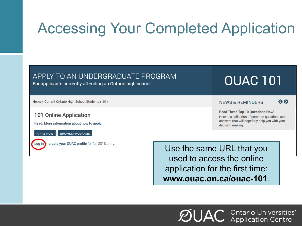# Accessing Your Completed Application

### APPLY TO AN UNDERGRADUATE PROGRAM

For applicants currently attending an Ontario high school

#### Home » Current Ontario High School Students (101)

### **101 Online Application**

Read: More information about how to apply.



**BROWSE PROGRAMS** 

or create your OUAC profile for fall 2018 entry. oq in

Use the same URL that you used to access the online application for the first time: **www.ouac.on.ca/ouac-101**.

 $\mathcal{D}$ UAC **Ontario Universities'** 

**OUAC 101** 

**Read These Top 10 Questions Now!** Here is a collection of common questions and answers that will hopefully help you with your decision making.

**NEWS & REMINDERS** 

80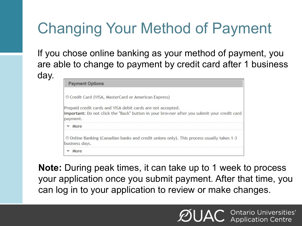# Changing Your Method of Payment

If you chose online banking as your method of payment, you are able to change to payment by credit card after 1 business day.

| <b>Payment Options</b>                                                                                                                                                 |
|------------------------------------------------------------------------------------------------------------------------------------------------------------------------|
| © Credit Card (VISA, MasterCard or American Express)                                                                                                                   |
| Prepaid credit cards and VISA debit cards are not accepted.<br>Important: Do not click the "Back" button in your browser after you submit your credit card<br>payment. |
| More<br>▽                                                                                                                                                              |
| © Online Banking (Canadian banks and credit unions only). This process usually takes 1-3<br>business days.                                                             |
| More                                                                                                                                                                   |

**Note:** During peak times, it can take up to 1 week to process your application once you submit payment. After that time, you can log in to your application to review or make changes.

**Ontario Universities'**<br>Application Centre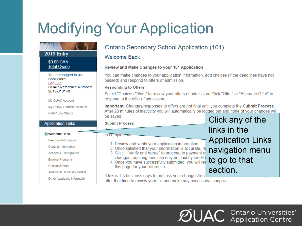# Modifying Your Application

#### **Ontario Secondary School Application (101) 2019 Entry Welcome Back** \$0.00 CAN **Total Owing Review and Make Changes to your 101 Application** You can make changes to your application information, add choices (if the deadlines have not You are logged in as: **BookWorm** passed) and respond to offers of admission. Log Out **OUAC Reference Number: Responding to Offers** 2019-010148 Select "Choices/Offers" to review your offers of admission. Click "Offer" or "Alternate Offer" to respond to the offer of admission. My OUAC Account Important: Changes/responses to offers are not final until you complete the Submit Process. My OUAC Financial Account After 20 minutes of inactivity you will automatically be logged out and none of your changes will **OSAP Link Status** be saved Click any of the **Application Links Submit Process** links in the **O** Welcome Back to complete the state Application Links Personal Information 1. Review and verify your application information. Contact Information 2. Once satisfied that your information is accurate, re navigation menu 3. Click "I Verify and Agree" to proceed to payment a Academic Background changes requiring fees can only be paid by credit to go to that **Browse Programs** 4. Once you have successfully submitted, you will red Choices/Offers

It takes 1-3 business days to process your changes/resp after that time to review your file and make any necessary changes.

this page for your reference.

**Additional University Details** 

Other Academic Information

 $\mathcal{D}$ UAC Ontario Universities'

section.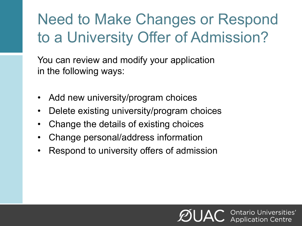# Need to Make Changes or Respond to a University Offer of Admission?

You can review and modify your application in the following ways:

- Add new university/program choices
- Delete existing university/program choices
- Change the details of existing choices
- Change personal/address information
- Respond to university offers of admission

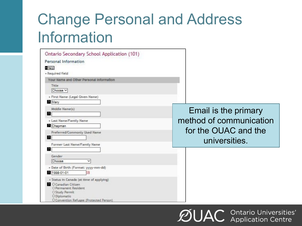# Change Personal and Address Information

| Ontario Secondary School Application (101)                                                                                                                                 |                                       |
|----------------------------------------------------------------------------------------------------------------------------------------------------------------------------|---------------------------------------|
| Personal Information                                                                                                                                                       |                                       |
| 1 Help<br>+ Required field                                                                                                                                                 |                                       |
| Your Name and Other Personal Information                                                                                                                                   |                                       |
| Title<br>Choose V                                                                                                                                                          |                                       |
| · First Name (Legal Given Name)<br>Mary                                                                                                                                    |                                       |
| Middle Name(s)<br>B.                                                                                                                                                       | Email is the primary                  |
| * Last Name/Family Name<br>Chapman                                                                                                                                         | method of communication               |
| Preferred/Commonly Used Name<br>n                                                                                                                                          | for the OUAC and the<br>universities. |
| Former Last Name/Family Name<br>2                                                                                                                                          |                                       |
| Gender<br>Choose<br>v                                                                                                                                                      |                                       |
| + Date of Birth (Format: yyyy-mm-dd)<br>1998-01-01                                                                                                                         |                                       |
| · Status in Canada (at time of applying)<br><b>C</b> Canadian Citizen<br>O Permanent Resident<br>O Study Permit<br>O Diplomatio<br>O Convention Refugee (Protected Person) |                                       |

**ØUAC Ontario Universities'**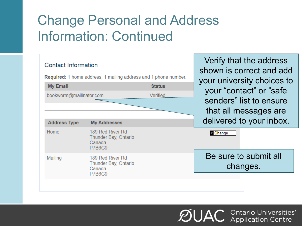### Change Personal and Address Information: Continued



 $\mathcal{D}$ UAC Ontario Universities'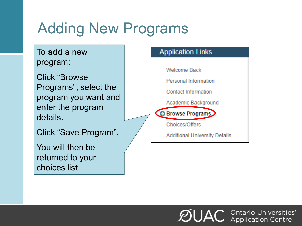# Adding New Programs

To **add** a new program:

Click "Browse Programs", select the program you want and enter the program details.

Click "Save Program".

You will then be returned to your choices list.



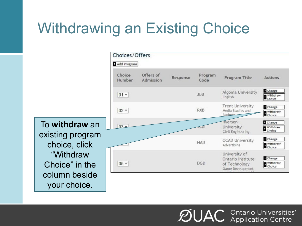# Withdrawing an Existing Choice

Choices/Offers Add Program Choice Offers of Program Response Program Title Actions Number Admission Code Change Algoma University  $01 -$ **JBB** Withdraw English **Trent University** Change **RXB**  $02 -$ Media Studies and Withdraw **Business** Choice Ryerson Change  $03<sub>2</sub>$ University πū Withdraw Choice Civil Engineering Change **OCAD University** Withdraw **HAD** Advertising Choice University of Change Ontario Institute  $05 -$ **DGD** Withdraw of Technology Choice Game Development

 $\mathcal{D}$ UAC Ontario Universities'

To **withdraw** an existing program choice, click "Withdraw Choice" in the column beside your choice.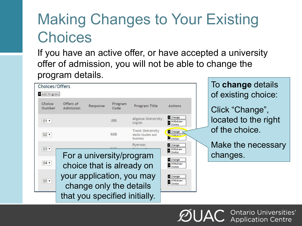# Making Changes to Your Existing **Choices**

If you have an active offer, or have accepted a university offer of admission, you will not be able to change the program details.

| Choices/Offers<br>Add Program |                        |          |                 |                                                                                                                                                |                                                                        |
|-------------------------------|------------------------|----------|-----------------|------------------------------------------------------------------------------------------------------------------------------------------------|------------------------------------------------------------------------|
| Choice<br>Number              | Offers of<br>Admission | Response | Program<br>Code | Program Title                                                                                                                                  | <b>Actions</b>                                                         |
| $01 -$                        |                        |          | <b>JBB</b>      | Algoma University<br>English                                                                                                                   | Change<br>Withdraw<br>Choice                                           |
| $02 -$                        |                        |          | <b>RXB</b>      | <b>Trent University</b><br>Media Studies and<br><b>Business</b>                                                                                | Change<br><b>Automotive</b><br>Choice                                  |
| $03 -$                        |                        |          |                 | Ryerson                                                                                                                                        | Change<br>Withdraw                                                     |
| $04$ $*$<br>$05 -$            |                        |          |                 | For a university/program<br>choice that is already on<br>your application, you may<br>change only the details<br>that you specified initially. | Choice<br>Change<br>Withdraw<br>Choice<br>Change<br>Withdraw<br>Choice |

To **change** details of existing choice:

Click "Change", located to the right of the choice.

Make the necessary changes.

• Ontario Universities'<br>• Application Centre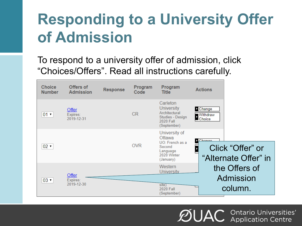# **Responding to a University Offer of Admission**

To respond to a university offer of admission, click "Choices/Offers". Read all instructions carefully.

| <b>Choice</b><br><b>Number</b> | Offers of<br><b>Admission</b>   | <b>Response</b> | Program<br>Code | Program<br><b>Title</b>                                                                        | <b>Actions</b>                                     |
|--------------------------------|---------------------------------|-----------------|-----------------|------------------------------------------------------------------------------------------------|----------------------------------------------------|
| $01 -$                         | Offer<br>Expires:<br>2019-12-31 |                 | <b>CR</b>       | Carleton<br><b>University</b><br>Architectural<br>Studies - Design<br>2020 Fall<br>(September) | <b>Change</b><br>Withdraw<br>Choice                |
| $02 -$                         |                                 |                 | <b>OVR</b>      | University of<br>Ottawa<br>UO: French as a<br>Second<br>Language<br>2020 Winter<br>(January)   | Chanas<br>Click "Offer" or<br>"Alternate Offer" in |
| $03 -$                         | Offer<br>Expires:<br>2019-12-30 |                 |                 | Western<br><b>University</b><br>site)<br>2020 Fall<br>(September)                              | the Offers of<br>Admission<br>column.              |

Ontario Universities'<br>Application Centre ØUA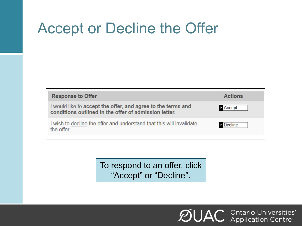## Accept or Decline the Offer

| <b>Response to Offer</b>                                                                                              | <b>Actions</b> |
|-----------------------------------------------------------------------------------------------------------------------|----------------|
| I would like to accept the offer, and agree to the terms and<br>conditions outlined in the offer of admission letter. | <b>Accept</b>  |
| I wish to decline the offer and understand that this will invalidate<br>the offer.                                    | <b>Decline</b> |

To respond to an offer, click "Accept" or "Decline".

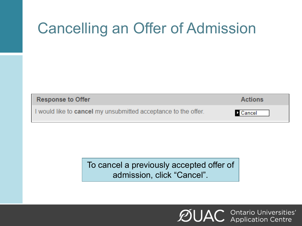# Cancelling an Offer of Admission

| <b>Response to Offer</b>                                              | <b>Actions</b>  |
|-----------------------------------------------------------------------|-----------------|
| I would like to <b>cancel</b> my unsubmitted acceptance to the offer. | <b>D</b> Cancel |

To cancel a previously accepted offer of admission, click "Cancel".

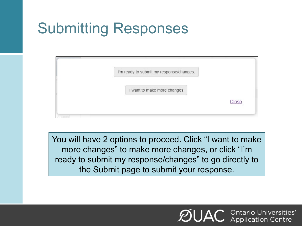# Submitting Responses

| I'm ready to submit my response/changes. |             |
|------------------------------------------|-------------|
|                                          |             |
| I want to make more changes              |             |
|                                          | <b>GROL</b> |
|                                          |             |

You will have 2 options to proceed. Click "I want to make more changes" to make more changes, or click "I'm ready to submit my response/changes" to go directly to the Submit page to submit your response.

> **C** Ontario Universities'<br>**C** Application Centre **ØUA**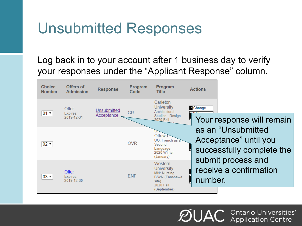## Unsubmitted Responses

### Log back in to your account after 1 business day to verify your responses under the "Applicant Response" column.



Ontario Universities'<br>Application Centre ØUA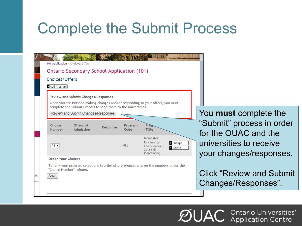## Complete the Submit Process

|              | 101 Application » Choices/Offers<br>Ontario Secondary School Application (101)                                                                                                                                          |                                                                            |
|--------------|-------------------------------------------------------------------------------------------------------------------------------------------------------------------------------------------------------------------------|----------------------------------------------------------------------------|
|              | <b>Choices/Offers</b><br>Add Program<br><b>Review and Submit Changes/Responses</b><br>When you are finished making changes and/or responding to your offers, you must                                                   |                                                                            |
|              | complete the Submit Process to send them to the universities.<br>Review and Submit Changes/Responses<br>Choice<br>Offers of<br>Program<br><b>Proz</b><br>Response<br><b>Number</b><br>Admission<br>Code<br><b>Title</b> | You must complete the<br>"Submit" process in order<br>for the OUAC and the |
|              | McMaster<br>University<br><b>2</b> Change<br>MI <sub>5</sub><br>$ 01 \rangle$<br>Life Sciences I<br><b>Delete</b><br><b>2018 Fall</b><br>(September)                                                                    | universities to receive<br>your changes/responses.                         |
| ails<br>:ion | <b>Order Your Choices</b><br>To rank your program selections in order of preference, change the numbers under the<br>"Choice Number" column.<br>Save                                                                    | <b>Click "Review and Submit"</b><br>Changes/Responses".                    |
|              |                                                                                                                                                                                                                         |                                                                            |

**ØUAC Ontario Universities'**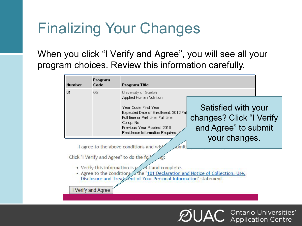# Finalizing Your Changes

When you click "I Verify and Agree" , you will see all your program choices. Review this information carefully.

| Number | Program<br>Code    | Program Title                                                                                                                                                                                                                                                                                                                                                                         |  |  |  |
|--------|--------------------|---------------------------------------------------------------------------------------------------------------------------------------------------------------------------------------------------------------------------------------------------------------------------------------------------------------------------------------------------------------------------------------|--|--|--|
| 01     | GS.                | University of Guelph<br>Applied Human Nutrition<br>Satisfied with your<br>Year Code: First Year<br>Expected Date of Enrollment: 2012 Fal<br>changes? Click "I Verify<br>Full-time or Part-time: Full-time<br>Co-op: No<br>and Agree" to submit<br>Previous Year Applied: 2010<br>Residence Information Required:<br>your changes.<br>I agree to the above conditions and wish<br>imit |  |  |  |
|        | I Verify and Agree | Click "I Verify and Agree" to do the foll<br>1g:<br>• Verify this information is $\swarrow$ ect and complete.<br>• Agree to the conditions the "101 Declaration and Notice of Collection, Use,<br>Disclosure and Treat ent of Your Personal Information" statement.                                                                                                                   |  |  |  |

**C** Ontario Universities'<br>**C** Application Centre ØUA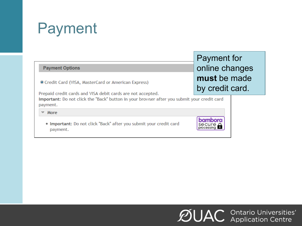# Payment

### **Payment Options**

© Credit Card (VISA, MasterCard or American Express)

Prepaid credit cards and VISA debit cards are not accepted.

Important: Do not click the "Back" button in your browser after you submit your credit card payment.

 $~\triangleright$  More

. Important: Do not click "Back" after you submit your credit card payment.

Payment for online changes **must** be made by credit card.



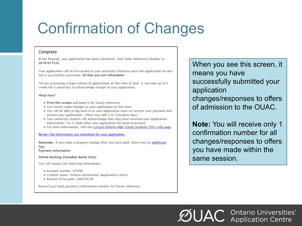# Confirmation of Changes

### Complete

M Jen Pinprod, your application has been submitted. Your OUAC Reference Number is: 2018-017235.

Your application will be forwarded to your university choice(s) once the application service fee is successfully processed. All fees are non-refundable.

We are processing a huge volume of applications at this time of year. It can take up to 2 weeks for a university to acknowledge receipt of your application.

#### What Now?

- . Print this screen and keep it for future reference.
- . You cannot make changes to your application at this time.
- . You will be able to log back in to your application once we receive your payment and process your application, which may take 2 to 5 business days.
- Your university choices will acknowledge that they have received your application information 1 to 3 weeks after your application has been processed.
- . For more information, visit the Current Ontario High School Students (101) web page.

#### Review the information you submitted for your application.

Reminder: If you make a program change after you have paid, there may be additional fees.

**Payment Information** 

**Online Banking (Canadian Banks Only)** 

You will require the following information:

- Account number: 675782
- Creditor name: Ontario Universities' Application Centre
- Amount to be paid: CAN\$150.00

Record your bank payment confirmation number for future reference.

When you see this screen, it means you have successfully submitted your application changes/responses to offers of admission to the OUAC.

**Note:** You will receive only 1 confirmation number for all changes/responses to offers you have made within the same session.

 $\mathcal{D}$ UAC Ontario Universities'